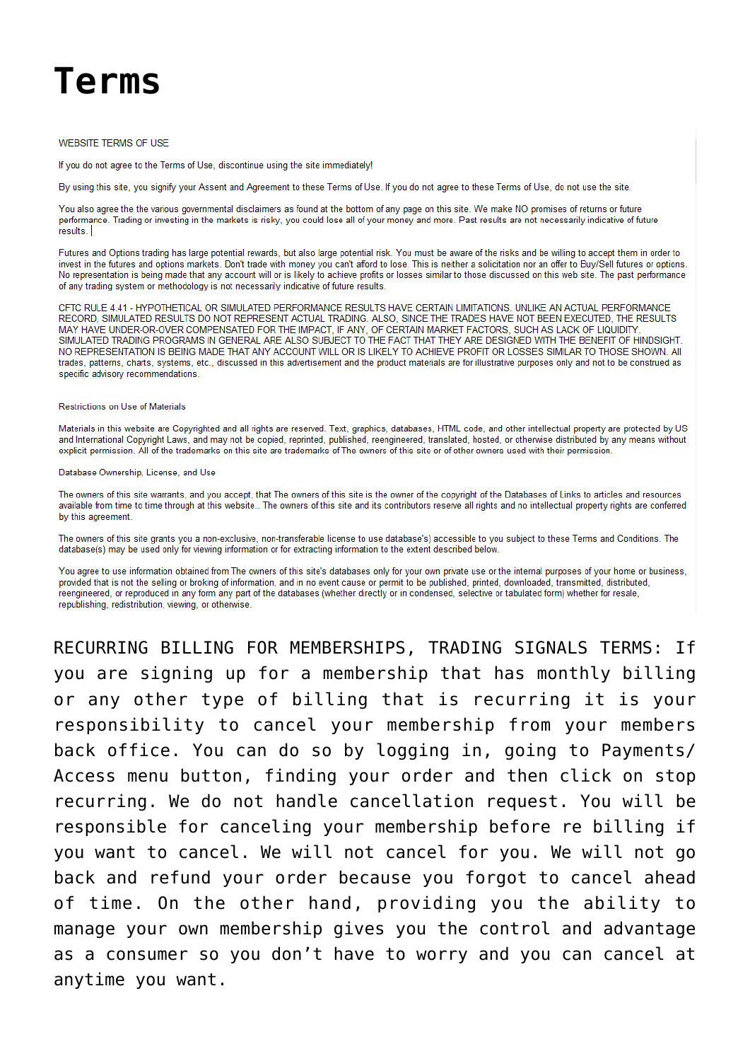# **Terms**

# **WEBSITE TERMS OF USE**

If you do not agree to the Terms of Use, discontinue using the site immediately!

By using this site, you signify your Assent and Agreement to these Terms of Use. If you do not agree to these Terms of Use, do not use the site.

You also agree the the various governmental disclaimers as found at the bottom of any page on this site. We make NO promises of returns or future performance. Trading or investing in the markets is risky, you could lose all of your money and more. Past results are not necessarily indicative of future results.

Futures and Options trading has large potential rewards, but also large potential risk. You must be aware of the risks and be willing to accept them in order to invest in the futures and options markets. Don't trade with money you can't afford to lose. This is neither a solicitation nor an offer to Buy/Sell futures or options. No representation is being made that any account will or is likely to achieve profits or losses similar to those discussed on this web site. The past performance of any trading system or methodology is not necessarily indicative of future results.

CFTC RULE 4.41 - HYPOTHETICAL OR SIMULATED PERFORMANCE RESULTS HAVE CERTAIN LIMITATIONS. UNLIKE AN ACTUAL PERFORMANCE RECORD, SIMULATED RESULTS DO NOT REPRESENT ACTUAL TRADING. ALSO, SINCE THE TRADES HAVE NOT BEEN EXECUTED, THE RESULTS MAY HAVE UNDER-OR-OVER COMPENSATED FOR THE IMPACT, IF ANY, OF CERTAIN MARKET FACTORS, SUCH AS LACK OF LIQUIDITY SIMULATED TRADING PROGRAMS IN GENERAL ARE ALSO SUBJECT TO THE FACT THAT THEY ARE DESIGNED WITH THE BENEFIT OF HINDSIGHT. NO REPRESENTATION IS BEING MADE THAT ANY ACCOUNT WILL OR IS LIKELY TO ACHIEVE PROFIT OR LOSSES SIMILAR TO THOSE SHOWN. AII trades, patterns, charts, systems, etc., discussed in this advertisement and the product materials are for illustrative purposes only and not to be construed as specific advisory recommendations

## Restrictions on Use of Materials

Materials in this website are Copyrighted and all rights are reserved. Text, graphics, databases, HTML code, and other intellectual property are protected by US and International Copyright Laws, and may not be copied, reprinted, published, reengineered, translated, hosted, or otherwise distributed by any means without explicit permission. All of the trademarks on this site are trademarks of The owners of this site or of other owners used with their permission.

#### Database Ownership, License, and Use

The owners of this site warrants, and you accept, that The owners of this site is the owner of the copyright of the Databases of Links to articles and resources available from time to time through at this website.. The owners of this site and its contributors reserve all rights and no intellectual property rights are conferred by this agreement

The owners of this site grants you a non-exclusive, non-transferable license to use database's) accessible to you subject to these Terms and Conditions. The database(s) may be used only for viewing information or for extracting information to the extent described below.

You agree to use information obtained from The owners of this site's databases only for your own private use or the internal purposes of your home or business, provided that is not the selling or broking of information, and in no event cause or permit to be published, printed, downloaded, transmitted, distributed, reengineered, or reproduced in any form any part of the databases (whether directly or in condensed, selective or tabulated form) whether for resale, republishing, redistribution, viewing, or otherwise.

RECURRING BILLING FOR MEMBERSHIPS, TRADING SIGNALS TERMS: If you are signing up for a membership that has monthly billing or any other type of billing that is recurring it is your responsibility to cancel your membership from your members back office. You can do so by logging in, going to Payments/ Access menu button, finding your order and then click on stop recurring. We do not handle cancellation request. You will be responsible for canceling your membership before re billing if you want to cancel. We will not cancel for you. We will not go back and refund your order because you forgot to cancel ahead of time. On the other hand, providing you the ability to manage your own membership gives you the control and advantage as a consumer so you don't have to worry and you can cancel at anytime you want.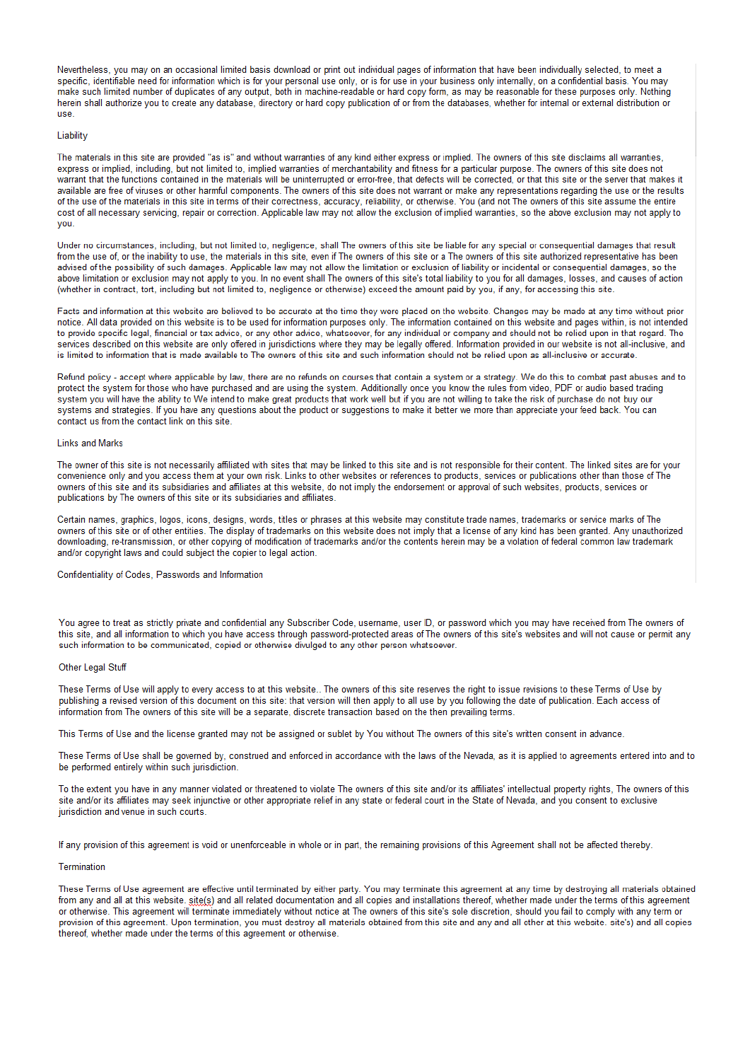Nevertheless, you may on an occasional limited basis download or print out individual pages of information that have been individually selected, to meet a specific, identifiable need for information which is for your personal use only, or is for use in your business only internally, on a confidential basis. You may make such limited number of duplicates of any output, both in machine-readable or hard copy form, as may be reasonable for these purposes only. Nothing herein shall authorize you to create any database, directory or hard copy publication of or from the databases, whether for internal or external distribution or use

## Liability

The materials in this site are provided "as is" and without warranties of any kind either express or implied. The owners of this site disclaims all warranties, express or implied, including, but not limited to, implied warranties of merchantability and fitness for a particular purpose. The owners of this site does not warrant that the functions contained in the materials will be uninterrupted or error-free, that defects will be corrected, or that this site or the server that makes it available are free of viruses or other harmful components. The owners of this site does not warrant or make any representations regarding the use or the results of the use of the materials in this site in terms of their correctness, accuracy, reliability, or otherwise. You (and not The owners of this site assume the entire cost of all necessary servicing, repair or correction. Applicable law may not allow the exclusion of implied warranties, so the above exclusion may not apply to VOU

Under no circumstances, including, but not limited to, negligence, shall The owners of this site be liable for any special or consequential damages that result from the use of or the inability to use the materials in this site, even if The owners of this site or a The owners of this site authorized representative has been advised of the possibility of such damages. Applicable law may not allow the limitation or exclusion of liability or incidental or consequential damages, so the above limitation or exclusion may not apply to you. In no event shall The owners of this site's total liability to you for all damages, losses, and causes of action (whether in contract, tort, including but not limited to, negligence or otherwise) exceed the amount paid by you, if any, for accessing this site.

Facts and information at this website are believed to be accurate at the time they were placed on the website. Changes may be made at any time without prior notice. All data provided on this website is to be used for information purposes only. The information contained on this website and pages within, is not intended to provide specific legal, financial or tax advice, or any other advice, whatsoever, for any individual or company and should not be relied upon in that regard. The services described on this website are only offered in jurisdictions where they may be legally offered. Information provided in our website is not all-inclusive, and is limited to information that is made available to The owners of this site and such information should not be relied upon as all-inclusive or accurate.

Refund policy - accept where applicable by law, there are no refunds on courses that contain a system or a strategy. We do this to combat past abuses and to protect the system for those who have purchased and are using the system. Additionally once you know the rules from video, PDF or audio based trading system you will have the ability to We intend to make great products that work well but if you are not willing to take the risk of purchase do not buy our systems and strategies. If you have any questions about the product or suggestions to make it better we more than appreciate your feed back. You can contact us from the contact link on this site

## **Links and Marks**

The owner of this site is not necessarily affiliated with sites that may be linked to this site and is not responsible for their content. The linked sites are for your convenience only and you access them at your own risk. Links to other websites or references to products, services or publications other than those of The owners of this site and its subsidiaries and affiliates at this website, do not imply the endorsement or approval of such websites, products, services or publications by The owners of this site or its subsidiaries and affiliates.

Certain names, graphics, logos, icons, designs, words, titles or phrases at this website may constitute trade names, trademarks or service marks of The owners of this site or of other entities. The display of trademarks on this website does not imply that a license of any kind has been granted. Any unauthorized downloading, re-transmission, or other copying of modification of trademarks and/or the contents herein may be a violation of federal common law trademark and/or copyright laws and could subject the copier to legal action.

Confidentiality of Codes, Passwords and Information

You agree to treat as strictly private and confidential any Subscriber Code, username, user ID, or password which you may have received from The owners of this site, and all information to which you have access through password-protected areas of The owners of this site's websites and will not cause or permit any such information to be communicated, copied or otherwise divulged to any other person whatsoever.

## Other Legal Stuff

These Terms of Use will apply to every access to at this website.. The owners of this site reserves the right to issue revisions to these Terms of Use by publishing a revised version of this document on this site: that version will then apply to all use by you following the date of publication. Each access of information from The owners of this site will be a separate, discrete transaction based on the then prevailing terms.

This Terms of Use and the license granted may not be assigned or sublet by You without The owners of this site's written consent in advance.

These Terms of Use shall be governed by, construed and enforced in accordance with the laws of the Nevada, as it is applied to agreements entered into and to be performed entirely within such jurisdiction.

To the extent you have in any manner violated or threatened to violate The owners of this site and/or its affiliates' intellectual property rights. The owners of this site and/or its affiliates may seek injunctive or other appropriate relief in any state or federal court in the State of Nevada, and you consent to exclusive jurisdiction and venue in such courts.

If any provision of this agreement is void or unenforceable in whole or in part, the remaining provisions of this Agreement shall not be affected thereby.

#### Termination

These Terms of Use agreement are effective until terminated by either party. You may terminate this agreement at any time by destroying all materials obtained from any and all at this website. site(s) and all related documentation and all copies and installations thereof, whether made under the terms of this agreement or otherwise. This agreement will terminate immediately without notice at The owners of this site's sole discretion, should you fail to comply with any term or provision of this agreement. Upon termination, you must destroy all materials obtained from this site and any and all other at this website. site's) and all copies thereof, whether made under the terms of this agreement or otherwise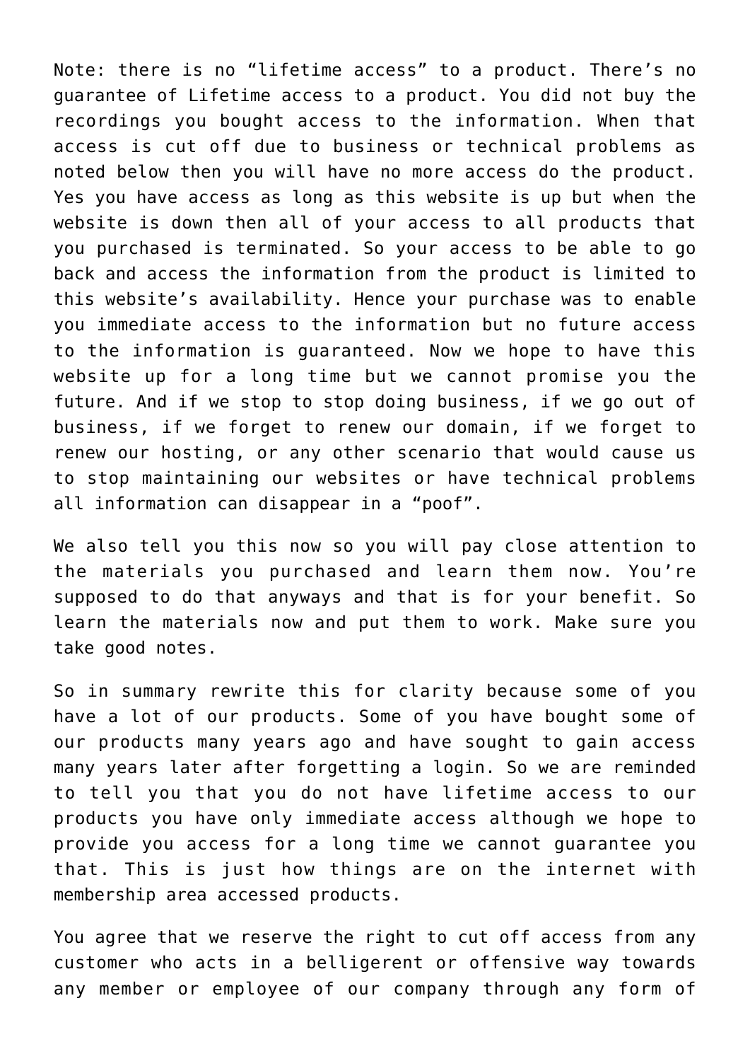Note: there is no "lifetime access" to a product. There's no guarantee of Lifetime access to a product. You did not buy the recordings you bought access to the information. When that access is cut off due to business or technical problems as noted below then you will have no more access do the product. Yes you have access as long as this website is up but when the website is down then all of your access to all products that you purchased is terminated. So your access to be able to go back and access the information from the product is limited to this website's availability. Hence your purchase was to enable you immediate access to the information but no future access to the information is guaranteed. Now we hope to have this website up for a long time but we cannot promise you the future. And if we stop to stop doing business, if we go out of business, if we forget to renew our domain, if we forget to renew our hosting, or any other scenario that would cause us to stop maintaining our websites or have technical problems all information can disappear in a "poof".

We also tell you this now so you will pay close attention to the materials you purchased and learn them now. You're supposed to do that anyways and that is for your benefit. So learn the materials now and put them to work. Make sure you take good notes.

So in summary rewrite this for clarity because some of you have a lot of our products. Some of you have bought some of our products many years ago and have sought to gain access many years later after forgetting a login. So we are reminded to tell you that you do not have lifetime access to our products you have only immediate access although we hope to provide you access for a long time we cannot guarantee you that. This is just how things are on the internet with membership area accessed products.

You agree that we reserve the right to cut off access from any customer who acts in a belligerent or offensive way towards any member or employee of our company through any form of